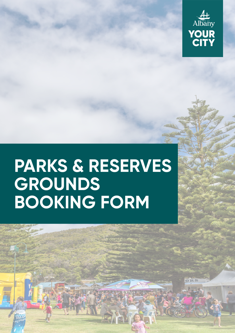

## **PARKS & RESERVES GROUNDS BOOKING FORM**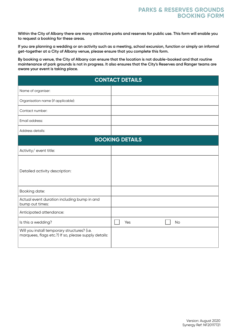**Within the City of Albany there are many attractive parks and reserves for public use. This form will enable you to request a booking for these areas.** 

**If you are planning a wedding or an activity such as a meeting, school excursion, function or simply an informal get-together at a City of Albany venue, please ensure that you complete this form.** 

**By booking a venue, the City of Albany can ensure that the location is not double-booked and that routine maintenance of park grounds is not in progress. It also ensures that the City's Reserves and Ranger teams are aware your event is taking place.** 

| <b>CONTACT DETAILS</b>                                                                               |                  |
|------------------------------------------------------------------------------------------------------|------------------|
| Name of organiser:                                                                                   |                  |
| Organisation name (if applicable):                                                                   |                  |
| Contact number:                                                                                      |                  |
| Email address:                                                                                       |                  |
| Address details:                                                                                     |                  |
| <b>BOOKING DETAILS</b>                                                                               |                  |
| Activity/ event title:                                                                               |                  |
| Detailed activity description:                                                                       |                  |
| Booking date:                                                                                        |                  |
| Actual event duration including bump in and<br>bump out times:                                       |                  |
| Anticipated attendance:                                                                              |                  |
| Is this a wedding?                                                                                   | Yes<br><b>No</b> |
| Will you install temporary structures? (i.e.<br>marquees, flags etc.?) If so, please supply details: |                  |